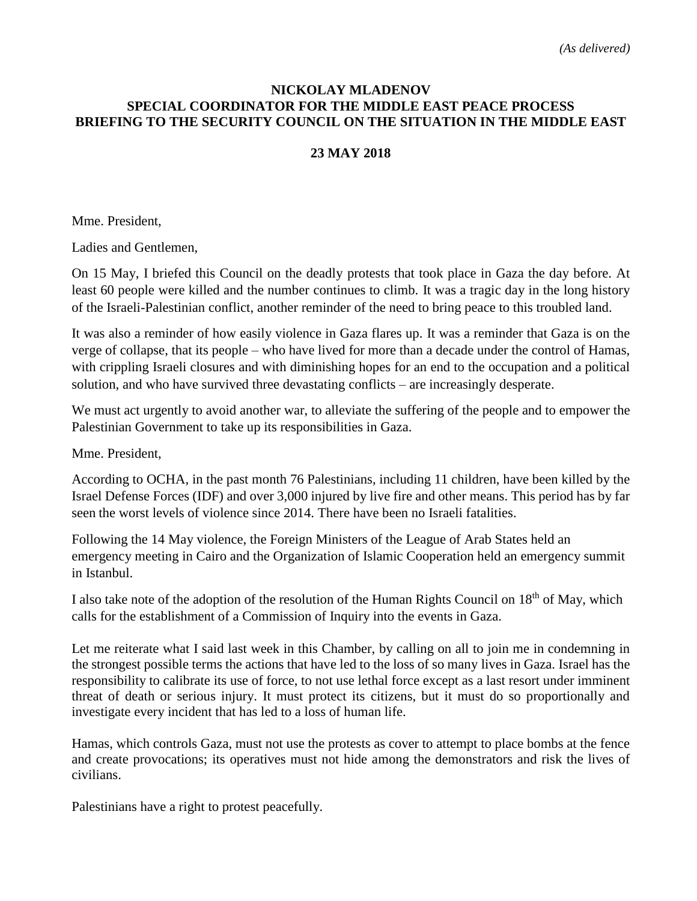## **NICKOLAY MLADENOV SPECIAL COORDINATOR FOR THE MIDDLE EAST PEACE PROCESS BRIEFING TO THE SECURITY COUNCIL ON THE SITUATION IN THE MIDDLE EAST**

#### **23 MAY 2018**

Mme. President,

Ladies and Gentlemen,

On 15 May, I briefed this Council on the deadly protests that took place in Gaza the day before. At least 60 people were killed and the number continues to climb. It was a tragic day in the long history of the Israeli-Palestinian conflict, another reminder of the need to bring peace to this troubled land.

It was also a reminder of how easily violence in Gaza flares up. It was a reminder that Gaza is on the verge of collapse, that its people – who have lived for more than a decade under the control of Hamas, with crippling Israeli closures and with diminishing hopes for an end to the occupation and a political solution, and who have survived three devastating conflicts – are increasingly desperate.

We must act urgently to avoid another war, to alleviate the suffering of the people and to empower the Palestinian Government to take up its responsibilities in Gaza.

Mme. President,

According to OCHA, in the past month 76 Palestinians, including 11 children, have been killed by the Israel Defense Forces (IDF) and over 3,000 injured by live fire and other means. This period has by far seen the worst levels of violence since 2014. There have been no Israeli fatalities.

Following the 14 May violence, the Foreign Ministers of the League of Arab States held an emergency meeting in Cairo and the Organization of Islamic Cooperation held an emergency summit in Istanbul.

I also take note of the adoption of the resolution of the Human Rights Council on 18th of May, which calls for the establishment of a Commission of Inquiry into the events in Gaza.

Let me reiterate what I said last week in this Chamber, by calling on all to join me in condemning in the strongest possible terms the actions that have led to the loss of so many lives in Gaza. Israel has the responsibility to calibrate its use of force, to not use lethal force except as a last resort under imminent threat of death or serious injury. It must protect its citizens, but it must do so proportionally and investigate every incident that has led to a loss of human life.

Hamas, which controls Gaza, must not use the protests as cover to attempt to place bombs at the fence and create provocations; its operatives must not hide among the demonstrators and risk the lives of civilians.

Palestinians have a right to protest peacefully.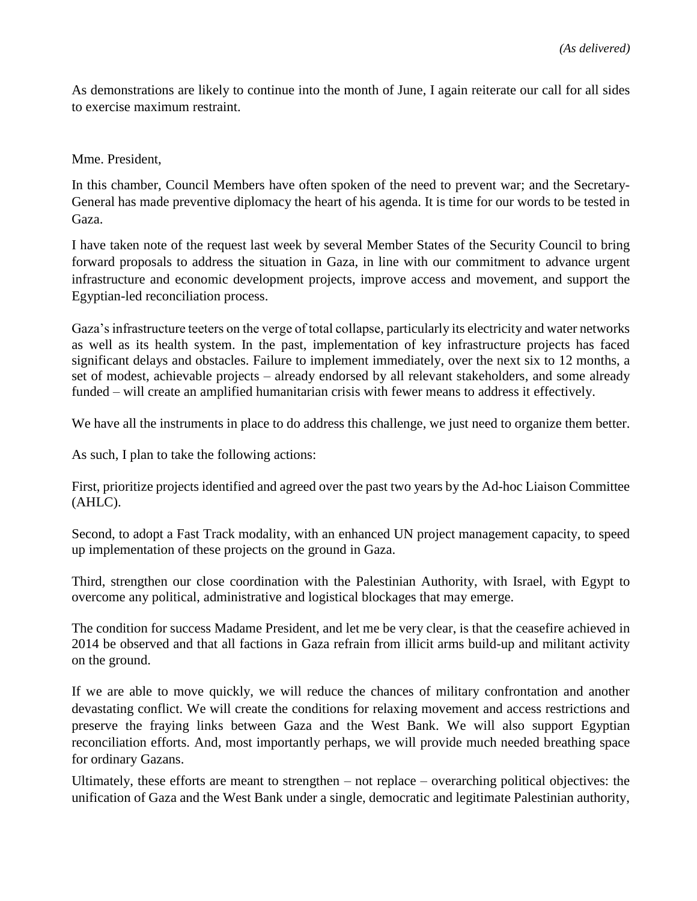As demonstrations are likely to continue into the month of June, I again reiterate our call for all sides to exercise maximum restraint.

Mme. President,

In this chamber, Council Members have often spoken of the need to prevent war; and the Secretary-General has made preventive diplomacy the heart of his agenda. It is time for our words to be tested in Gaza.

I have taken note of the request last week by several Member States of the Security Council to bring forward proposals to address the situation in Gaza, in line with our commitment to advance urgent infrastructure and economic development projects, improve access and movement, and support the Egyptian-led reconciliation process.

Gaza's infrastructure teeters on the verge of total collapse, particularly its electricity and water networks as well as its health system. In the past, implementation of key infrastructure projects has faced significant delays and obstacles. Failure to implement immediately, over the next six to 12 months, a set of modest, achievable projects – already endorsed by all relevant stakeholders, and some already funded – will create an amplified humanitarian crisis with fewer means to address it effectively.

We have all the instruments in place to do address this challenge, we just need to organize them better.

As such, I plan to take the following actions:

First, prioritize projects identified and agreed over the past two years by the Ad-hoc Liaison Committee (AHLC).

Second, to adopt a Fast Track modality, with an enhanced UN project management capacity, to speed up implementation of these projects on the ground in Gaza.

Third, strengthen our close coordination with the Palestinian Authority, with Israel, with Egypt to overcome any political, administrative and logistical blockages that may emerge.

The condition for success Madame President, and let me be very clear, is that the ceasefire achieved in 2014 be observed and that all factions in Gaza refrain from illicit arms build-up and militant activity on the ground.

If we are able to move quickly, we will reduce the chances of military confrontation and another devastating conflict. We will create the conditions for relaxing movement and access restrictions and preserve the fraying links between Gaza and the West Bank. We will also support Egyptian reconciliation efforts. And, most importantly perhaps, we will provide much needed breathing space for ordinary Gazans.

Ultimately, these efforts are meant to strengthen – not replace – overarching political objectives: the unification of Gaza and the West Bank under a single, democratic and legitimate Palestinian authority,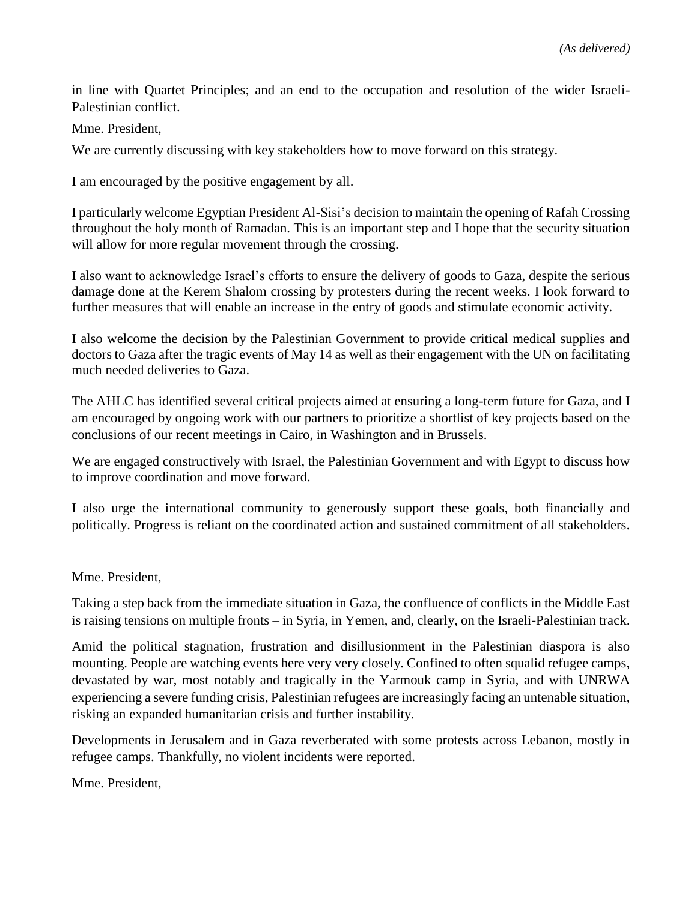in line with Quartet Principles; and an end to the occupation and resolution of the wider Israeli-Palestinian conflict.

Mme. President,

We are currently discussing with key stakeholders how to move forward on this strategy.

I am encouraged by the positive engagement by all.

I particularly welcome Egyptian President Al-Sisi's decision to maintain the opening of Rafah Crossing throughout the holy month of Ramadan. This is an important step and I hope that the security situation will allow for more regular movement through the crossing.

I also want to acknowledge Israel's efforts to ensure the delivery of goods to Gaza, despite the serious damage done at the Kerem Shalom crossing by protesters during the recent weeks. I look forward to further measures that will enable an increase in the entry of goods and stimulate economic activity.

I also welcome the decision by the Palestinian Government to provide critical medical supplies and doctors to Gaza after the tragic events of May 14 as well as their engagement with the UN on facilitating much needed deliveries to Gaza.

The AHLC has identified several critical projects aimed at ensuring a long-term future for Gaza, and I am encouraged by ongoing work with our partners to prioritize a shortlist of key projects based on the conclusions of our recent meetings in Cairo, in Washington and in Brussels.

We are engaged constructively with Israel, the Palestinian Government and with Egypt to discuss how to improve coordination and move forward.

I also urge the international community to generously support these goals, both financially and politically. Progress is reliant on the coordinated action and sustained commitment of all stakeholders.

#### Mme. President,

Taking a step back from the immediate situation in Gaza, the confluence of conflicts in the Middle East is raising tensions on multiple fronts – in Syria, in Yemen, and, clearly, on the Israeli-Palestinian track.

Amid the political stagnation, frustration and disillusionment in the Palestinian diaspora is also mounting. People are watching events here very very closely. Confined to often squalid refugee camps, devastated by war, most notably and tragically in the Yarmouk camp in Syria, and with UNRWA experiencing a severe funding crisis, Palestinian refugees are increasingly facing an untenable situation, risking an expanded humanitarian crisis and further instability.

Developments in Jerusalem and in Gaza reverberated with some protests across Lebanon, mostly in refugee camps. Thankfully, no violent incidents were reported.

Mme. President,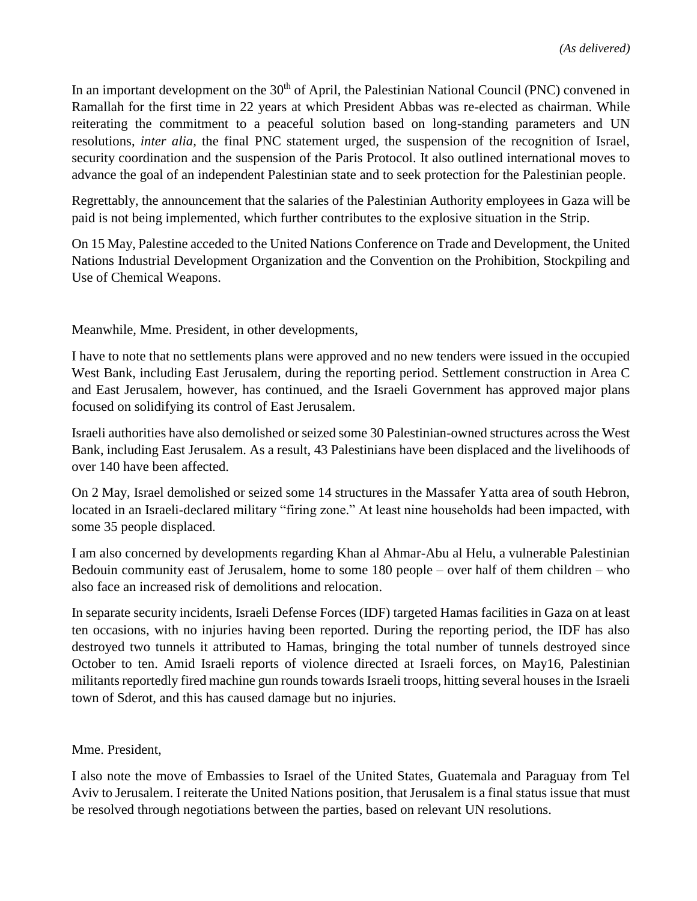In an important development on the 30<sup>th</sup> of April, the Palestinian National Council (PNC) convened in Ramallah for the first time in 22 years at which President Abbas was re-elected as chairman. While reiterating the commitment to a peaceful solution based on long-standing parameters and UN resolutions, *inter alia,* the final PNC statement urged*,* the suspension of the recognition of Israel, security coordination and the suspension of the Paris Protocol. It also outlined international moves to advance the goal of an independent Palestinian state and to seek protection for the Palestinian people.

Regrettably, the announcement that the salaries of the Palestinian Authority employees in Gaza will be paid is not being implemented, which further contributes to the explosive situation in the Strip.

On 15 May, Palestine acceded to the United Nations Conference on Trade and Development, the United Nations Industrial Development Organization and the Convention on the Prohibition, Stockpiling and Use of Chemical Weapons.

Meanwhile, Mme. President, in other developments,

I have to note that no settlements plans were approved and no new tenders were issued in the occupied West Bank, including East Jerusalem, during the reporting period. Settlement construction in Area C and East Jerusalem, however, has continued, and the Israeli Government has approved major plans focused on solidifying its control of East Jerusalem.

Israeli authorities have also demolished or seized some 30 Palestinian-owned structures across the West Bank, including East Jerusalem. As a result, 43 Palestinians have been displaced and the livelihoods of over 140 have been affected.

On 2 May, Israel demolished or seized some 14 structures in the Massafer Yatta area of south Hebron, located in an Israeli-declared military "firing zone." At least nine households had been impacted, with some 35 people displaced.

I am also concerned by developments regarding Khan al Ahmar-Abu al Helu, a vulnerable Palestinian Bedouin community east of Jerusalem, home to some 180 people – over half of them children – who also face an increased risk of demolitions and relocation.

In separate security incidents, Israeli Defense Forces (IDF) targeted Hamas facilities in Gaza on at least ten occasions, with no injuries having been reported. During the reporting period, the IDF has also destroyed two tunnels it attributed to Hamas, bringing the total number of tunnels destroyed since October to ten. Amid Israeli reports of violence directed at Israeli forces, on May16, Palestinian militants reportedly fired machine gun rounds towards Israeli troops, hitting several housesin the Israeli town of Sderot, and this has caused damage but no injuries.

### Mme. President,

I also note the move of Embassies to Israel of the United States, Guatemala and Paraguay from Tel Aviv to Jerusalem. I reiterate the United Nations position, that Jerusalem is a final status issue that must be resolved through negotiations between the parties, based on relevant UN resolutions.